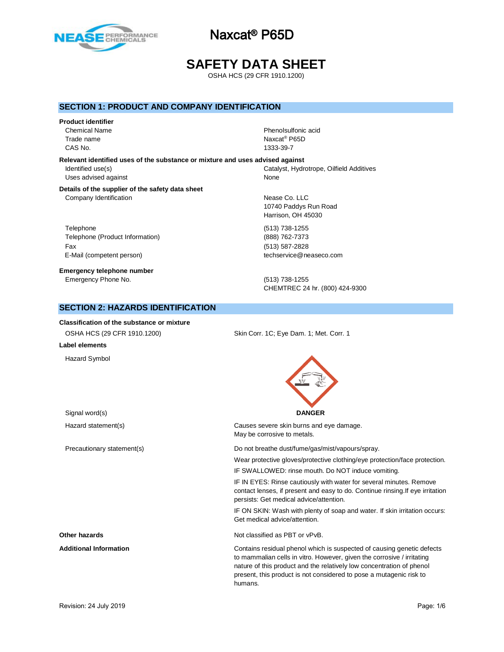

# **SAFETY DATA SHEET**

OSHA HCS (29 CFR 1910.1200)

## **SECTION 1: PRODUCT AND COMPANY IDENTIFICATION**

#### **Product identifier**

CAS No. 1333-39-7

**Relevant identified uses of the substance or mixture and uses advised against** Uses advised against None

# Chemical Name **Phenolsulfonic acid** Trade name Naxcat<sup>®</sup> P65D

Identified use(s) Catalyst, Hydrotrope, Oilfield Additives

#### **Details of the supplier of the safety data sheet** Company Identification **Nearly 10** and 200 and 200 and 200 and 200 and 200 and 200 and 200 and 200 and 200 and 200 and 200 and 200 and 200 and 200 and 200 and 200 and 200 and 200 and 200 and 200 and 200 and 200 and 200 and

Telephone (513) 738-1255 Telephone (Product Information) (888) 762-7373 Fax (513) 587-2828 E-Mail (competent person) example a second techservice@neaseco.com

**Emergency telephone number** Emergency Phone No. (513) 738-1255

10740 Paddys Run Road Harrison, OH 45030

CHEMTREC 24 hr. (800) 424-9300

present, this product is not considered to pose a mutagenic risk to

## **SECTION 2: HAZARDS IDENTIFICATION**

| <b>Classification of the substance or mixture</b> |                                                                                                                                                                                                                           |
|---------------------------------------------------|---------------------------------------------------------------------------------------------------------------------------------------------------------------------------------------------------------------------------|
| OSHA HCS (29 CFR 1910.1200)                       | Skin Corr. 1C; Eye Dam. 1; Met. Corr. 1                                                                                                                                                                                   |
| Label elements                                    |                                                                                                                                                                                                                           |
| <b>Hazard Symbol</b>                              |                                                                                                                                                                                                                           |
| Signal word(s)                                    | <b>DANGER</b>                                                                                                                                                                                                             |
| Hazard statement(s)                               | Causes severe skin burns and eye damage.<br>May be corrosive to metals.                                                                                                                                                   |
| Precautionary statement(s)                        | Do not breathe dust/fume/gas/mist/vapours/spray.                                                                                                                                                                          |
|                                                   | Wear protective gloves/protective clothing/eye protection/face protection.                                                                                                                                                |
|                                                   | IF SWALLOWED: rinse mouth. Do NOT induce vomiting.                                                                                                                                                                        |
|                                                   | IF IN EYES: Rinse cautiously with water for several minutes. Remove<br>contact lenses, if present and easy to do. Continue rinsing. If eye irritation<br>persists: Get medical advice/attention.                          |
|                                                   | IF ON SKIN: Wash with plenty of soap and water. If skin irritation occurs:<br>Get medical advice/attention.                                                                                                               |
| Other hazards                                     | Not classified as PBT or vPvB.                                                                                                                                                                                            |
| <b>Additional Information</b>                     | Contains residual phenol which is suspected of causing genetic defects<br>to mammalian cells in vitro. However, given the corrosive / irritating<br>nature of this product and the relatively low concentration of phenol |

humans.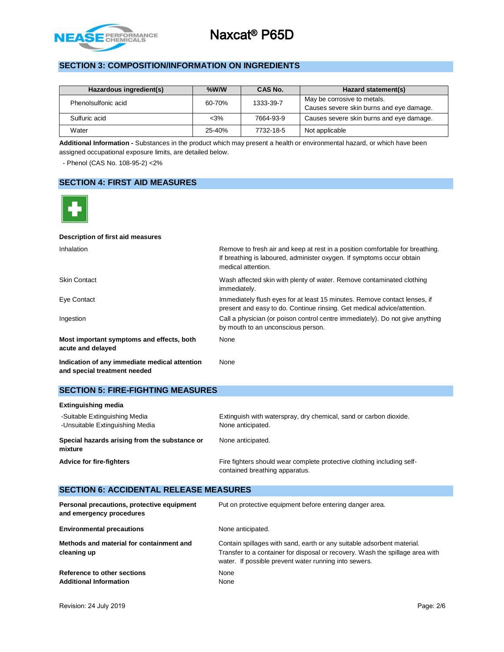

# **SECTION 3: COMPOSITION/INFORMATION ON INGREDIENTS**

| Hazardous ingredient(s) | $%$ W/W | CAS No.   | Hazard statement(s)                      |
|-------------------------|---------|-----------|------------------------------------------|
| Phenolsulfonic acid     | 60-70%  | 1333-39-7 | May be corrosive to metals.              |
|                         |         |           | Causes severe skin burns and eye damage. |
| Sulfuric acid           | $<$ 3%  | 7664-93-9 | Causes severe skin burns and eye damage. |
| Water                   | 25-40%  | 7732-18-5 | Not applicable                           |

**Additional Information -** Substances in the product which may present a health or environmental hazard, or which have been assigned occupational exposure limits, are detailed below.

- Phenol (CAS No. 108-95-2) <2%

## **SECTION 4: FIRST AID MEASURES**



#### **Description of first aid measures**

| Inhalation                                                                    | Remove to fresh air and keep at rest in a position comfortable for breathing.<br>If breathing is laboured, administer oxygen. If symptoms occur obtain<br>medical attention. |
|-------------------------------------------------------------------------------|------------------------------------------------------------------------------------------------------------------------------------------------------------------------------|
| <b>Skin Contact</b>                                                           | Wash affected skin with plenty of water. Remove contaminated clothing<br>immediately.                                                                                        |
| Eye Contact                                                                   | Immediately flush eyes for at least 15 minutes. Remove contact lenses, if<br>present and easy to do. Continue rinsing. Get medical advice/attention.                         |
| Ingestion                                                                     | Call a physician (or poison control centre immediately). Do not give anything<br>by mouth to an unconscious person.                                                          |
| Most important symptoms and effects, both<br>acute and delayed                | None                                                                                                                                                                         |
| Indication of any immediate medical attention<br>and special treatment needed | None                                                                                                                                                                         |

## **SECTION 5: FIRE-FIGHTING MEASURES**

| <b>Extinguishing media</b>                                       |                                                                                                          |
|------------------------------------------------------------------|----------------------------------------------------------------------------------------------------------|
| -Suitable Extinguishing Media<br>-Unsuitable Extinguishing Media | Extinguish with waterspray, dry chemical, sand or carbon dioxide.<br>None anticipated.                   |
| Special hazards arising from the substance or<br>mixture         | None anticipated.                                                                                        |
| <b>Advice for fire-fighters</b>                                  | Fire fighters should wear complete protective clothing including self-<br>contained breathing apparatus. |

# **SECTION 6: ACCIDENTAL RELEASE MEASURES**

| Personal precautions, protective equipment<br>and emergency procedures | Put on protective equipment before entering danger area.                                                                                                                                                         |
|------------------------------------------------------------------------|------------------------------------------------------------------------------------------------------------------------------------------------------------------------------------------------------------------|
| <b>Environmental precautions</b>                                       | None anticipated.                                                                                                                                                                                                |
| Methods and material for containment and<br>cleaning up                | Contain spillages with sand, earth or any suitable adsorbent material.<br>Transfer to a container for disposal or recovery. Wash the spillage area with<br>water. If possible prevent water running into sewers. |
| Reference to other sections<br><b>Additional Information</b>           | None<br>None                                                                                                                                                                                                     |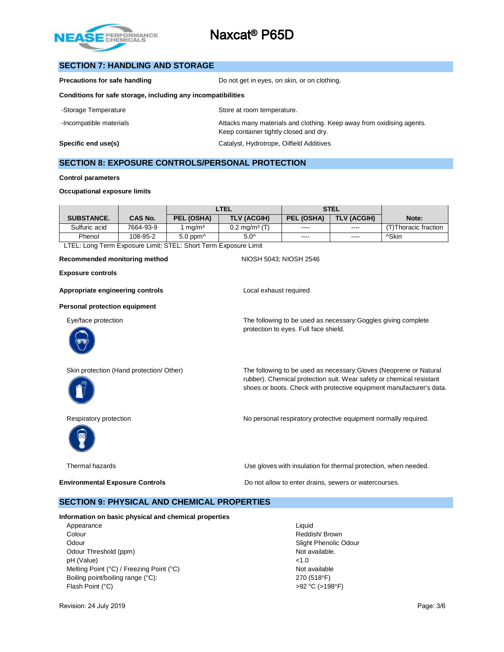

## **SECTION 7: HANDLING AND STORAGE**

| Precautions for safe handling                                | Do not get in eyes, on skin, or on clothing. |
|--------------------------------------------------------------|----------------------------------------------|
| Conditions for safe storage, including any incompatibilities |                                              |

| -Storage Temperature    | Store at room temperature.                                                                                      |
|-------------------------|-----------------------------------------------------------------------------------------------------------------|
| -Incompatible materials | Attacks many materials and clothing. Keep away from oxidising agents.<br>Keep container tightly closed and dry. |
| Specific end use(s)     | Catalyst, Hydrotrope, Oilfield Additives                                                                        |

## **SECTION 8: EXPOSURE CONTROLS/PERSONAL PROTECTION**

#### **Control parameters**

#### **Occupational exposure limits**

|           | LTEL               |                          | <b>STEL</b>   |             |                      |
|-----------|--------------------|--------------------------|---------------|-------------|----------------------|
| CAS No.   | PEL (OSHA)         | <b>TLV (ACGIH)</b>       | PEL (OSHA)    | TLV (ACGIH) | Note:                |
| 7664-93-9 | mq/m <sup>3</sup>  | $0.2 \text{ mg/m}^3$ (T) | $\cdots$      | $---$       | 'T)Thoracic fraction |
| 108-95-2  | $5.0$ ppm $\wedge$ | $5.0^{\circ}$            | $\frac{1}{2}$ | $- - - -$   | ^Skin                |
|           |                    |                          |               |             |                      |

LTEL: Long Term Exposure Limit; STEL: Short Term Exposure Limit

#### Recommended monitoring method<br>
NIOSH 5043; NIOSH 2546

**Exposure controls**

Appropriate engineering controls **Appropriate engineering controls Local exhaust required.** 

#### **Personal protection equipment**

Eye/face protection The following to be used as necessary:Goggles giving complete





Skin protection (Hand protection/ Other) The following to be used as necessary:Gloves (Neoprene or Natural rubber). Chemical protection suit. Wear safety or chemical resistant shoes or boots. Check with protective equipment manufacturer's data.



Respiratory protection **No personal respiratory protective equipment normally required.** 



Thermal hazards Use gloves with insulation for thermal protection, when needed.

**Environmental Exposure Controls Exposure Controls Do not allow to enter drains, sewers or watercourses.** 

protection to eyes. Full face shield.

#### **SECTION 9: PHYSICAL AND CHEMICAL PROPERTIES**

**Information on basic physical and chemical properties**

Appearance Liquid Colour Reddish/ Brown Odour **Slight Phenolic Odour** Superintendic Odour Slight Phenolic Odour Odour Threshold (ppm) Not available. pH (Value) <1.0 Melting Point (°C) / Freezing Point (°C) Not available Boiling point/boiling range (°C): 270 (518°F) Flash Point (°C)  $>92 \text{ °C}$  (>198°F)

Revision: 24 July 2019 **Page: 3/6** Page: 3/6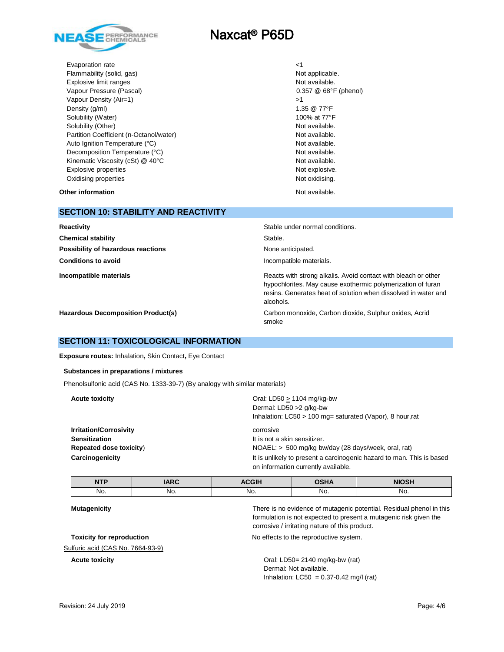

Evaporation rate <1 Flammability (solid, gas) Not applicable. Explosive limit ranges **Not available.** And the set of available. Vapour Pressure (Pascal) 0.357 @ 68°F (phenol) Vapour Density (Air=1)  $>1$ Density  $(g/m)$  1.35  $@ 77^{\circ}F$ Solubility (Water) **100%** at 77°F Solubility (Other) Not available. Partition Coefficient (n-Octanol/water) Not available. Auto Ignition Temperature (°C) and a variable. Decomposition Temperature (°C) Not available. Kinematic Viscosity (cSt) @ 40°C Not available. Explosive properties **Not explosive.** Not explosive. Oxidising properties Not oxidising.

**Other information Other information Other information** 

# **SECTION 10: STABILITY AND REACTIVITY Reactivity Reactivity Reactivity Stable under normal conditions. Chemical stability** Stable. **Possibility of hazardous reactions None anticipated.** None anticipated. **Conditions to avoid Incompatible materials. Conditions to avoid Incompatible materials Incompatible materials Reacts with strong alkalis.** Avoid contact with bleach or other hypochlorites. May cause exothermic polymerization of furan resins. Generates heat of solution when dissolved in water and alcohols. **Hazardous Decomposition Product(s)** Carbon monoxide, Carbon dioxide, Sulphur oxides, Acrid

smoke

## **SECTION 11: TOXICOLOGICAL INFORMATION**

**Exposure routes:** Inhalation**,** Skin Contact**,** Eye Contact

**Substances in preparations / mixtures**

Phenolsulfonic acid (CAS No. 1333-39-7) (By analogy with similar materials)

| <b>Acute toxicity</b>         | Oral: LD50 $> 1104$ mg/kg-bw<br>Dermal: LD50 > 2 q/kg-bw<br>Inhalation: $LC50 > 100$ mg= saturated (Vapor), 8 hour, rat |
|-------------------------------|-------------------------------------------------------------------------------------------------------------------------|
| <b>Irritation/Corrosivity</b> | corrosive                                                                                                               |
| <b>Sensitization</b>          | It is not a skin sensitizer.                                                                                            |
| Repeated dose toxicity)       | $NOAEL:$ > 500 mg/kg bw/day (28 days/week, oral, rat)                                                                   |
| Carcinogenicity               | It is unlikely to present a carcinogenic hazard to man. This is based<br>on information currently available.            |

| NTD<br>. | <b>IARC</b> | <b>ACGIH</b> | <b>OSHA</b> | <b>NIOSH</b> |
|----------|-------------|--------------|-------------|--------------|
| No.      | NO.         | No.          | No.         | No.          |

Sulfuric acid (CAS No. 7664-93-9)

**Mutagenicity** There is no evidence of mutagenic potential. Residual phenol in this formulation is not expected to present a mutagenic risk given the corrosive / irritating nature of this product.

**Toxicity for reproduction** No effects to the reproductive system.

**Acute toxicity Acute toxicity Crack Constant Constant Crack Crack Crack Crack Crack Crack Crack Crack Crack Crack Crack Crack Crack Crack Crack Crack Crack Crack Crack Crack Crack Crack Crack Crack Crack Crack Crack C** Dermal: Not available. Inhalation:  $LC50 = 0.37 - 0.42$  mg/l (rat)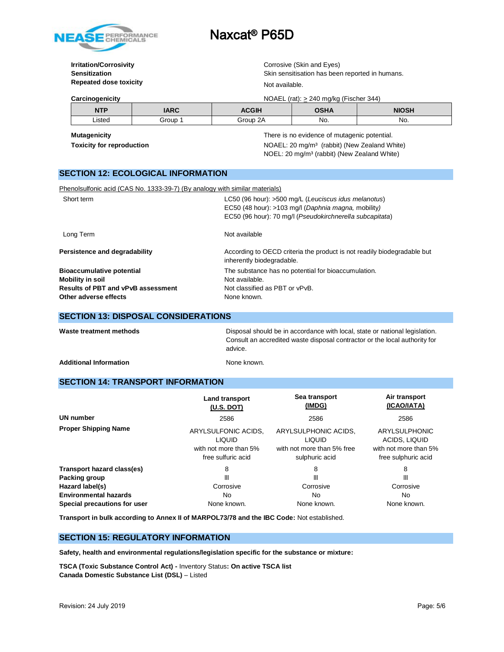

# **Repeated dose toxicity** Not available.

**Irritation/Corrosivity Corrosivity** Corrosive (Skin and Eyes) **Sensitization** Skin sensitisation has been reported in humans.

| Carcinogenicity |         |              | NOAEL (rat): $\geq$ 240 mg/kg (Fischer 344)  |              |
|-----------------|---------|--------------|----------------------------------------------|--------------|
| <b>NTP</b>      | IARC    | <b>ACGIH</b> | <b>OSHA</b>                                  | <b>NIOSH</b> |
| ∟isted          | Group 1 | Group 2A     | No.                                          | No.          |
| Mutagenicity    |         |              | There is no evidence of mutagenic potential. |              |

**Toxicity for reproduction NOAEL:** 20 mg/m<sup>3</sup> (rabbit) (New Zealand White) NOEL: 20 mg/m³ (rabbit) (New Zealand White)

# **SECTION 12: ECOLOGICAL INFORMATION**

| Phenolsulfonic acid (CAS No. 1333-39-7) (By analogy with similar materials)                                                |                                                                                                                                                                         |
|----------------------------------------------------------------------------------------------------------------------------|-------------------------------------------------------------------------------------------------------------------------------------------------------------------------|
| Short term                                                                                                                 | LC50 (96 hour): >500 mg/L (Leuciscus idus melanotus)<br>EC50 (48 hour): >103 mg/l (Daphnia magna, mobility)<br>EC50 (96 hour): 70 mg/l (Pseudokirchnerella subcapitata) |
| Long Term                                                                                                                  | Not available                                                                                                                                                           |
| Persistence and degradability                                                                                              | According to OECD criteria the product is not readily biodegradable but<br>inherently biodegradable.                                                                    |
| <b>Bioaccumulative potential</b><br>Mobility in soil<br><b>Results of PBT and vPvB assessment</b><br>Other adverse effects | The substance has no potential for bioaccumulation.<br>Not available.<br>Not classified as PBT or vPvB.<br>None known.                                                  |

## **SECTION 13: DISPOSAL CONSIDERATIONS**

Disposal should be in accordance with local, state or national legislation. Consult an accredited waste disposal contractor or the local authority for advice.

Additional Information **None known.** None known.

## **SECTION 14: TRANSPORT INFORMATION**

|                              | <b>Land transport</b><br>(U.S. DOT)                                                 | Sea transport<br>(IMDG)                                                               | Air transport<br>(ICAO/IATA)<br>2586<br><b>ARYLSULPHONIC</b><br>ACIDS, LIQUID<br>with not more than 5%<br>free sulphuric acid |  |
|------------------------------|-------------------------------------------------------------------------------------|---------------------------------------------------------------------------------------|-------------------------------------------------------------------------------------------------------------------------------|--|
| UN number                    | 2586                                                                                | 2586                                                                                  |                                                                                                                               |  |
| <b>Proper Shipping Name</b>  | ARYLSULFONIC ACIDS,<br><b>LIQUID</b><br>with not more than 5%<br>free sulfuric acid | ARYLSULPHONIC ACIDS,<br><b>LIQUID</b><br>with not more than 5% free<br>sulphuric acid |                                                                                                                               |  |
| Transport hazard class(es)   | 8                                                                                   | 8                                                                                     | 8                                                                                                                             |  |
| Packing group                | Ш                                                                                   | Ш                                                                                     | Ш                                                                                                                             |  |
| Hazard label(s)              | Corrosive                                                                           | Corrosive                                                                             | Corrosive                                                                                                                     |  |
| <b>Environmental hazards</b> | No                                                                                  | No.                                                                                   | No.                                                                                                                           |  |
| Special precautions for user | None known.                                                                         | None known.                                                                           | None known.                                                                                                                   |  |

**Transport in bulk according to Annex II of MARPOL73/78 and the IBC Code:** Not established.

#### **SECTION 15: REGULATORY INFORMATION**

**Safety, health and environmental regulations/legislation specific for the substance or mixture:**

**TSCA (Toxic Substance Control Act) -** Inventory Status**: On active TSCA list Canada Domestic Substance List (DSL)** – Listed